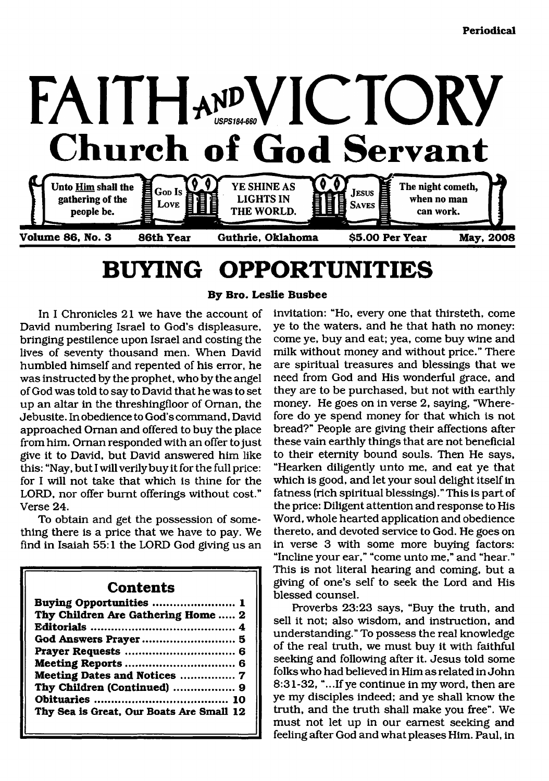

# <span id="page-0-0"></span>**BUYING OPPORTUNITIES**

**By Bro. Leslie Busbee**

In I Chronicles 21 we have the account of David numbering Israel to God's displeasure, bringing pestilence upon Israel and costing the lives of seventy thousand men. When David humbled himself and repented of his error, he was instructed by the prophet, who by the angel of God was told to say to David that he was to set up an altar in the threshingfloor of Oman, the Jebusite. In obedience to God's command, David approached Oman and offered to buy the place from him. Ornan responded with an offer to just give it to David, but David answered him like this: "Nay, but I will verily buy it for the full price: for I will not take that which is thine for the LORD, nor offer burnt offerings without cost." Verse 24.

To obtain and get the possession of something there is a price that we have to pay. We find in Isaiah 55:1 the LORD God giving us an

### **Contents**

| Buying Opportunities  1                  |
|------------------------------------------|
| Thy Children Are Gathering Home  2       |
|                                          |
|                                          |
|                                          |
|                                          |
| Meeting Dates and Notices  7             |
| Thy Children (Continued)  9              |
|                                          |
| Thy Sea is Great, Our Boats Are Small 12 |

invitation: "Ho, every one that thirsteth, come ye to the waters, and he that hath no money: come ye, buy and eat; yea, come buy wine and milk without money and without price." There are spiritual treasures and blessings that we need from God and His wonderful grace, and they are to be purchased, but not with earthly money. He goes on in verse 2, saying, "Wherefore do ye spend money for that which is not bread?" People are giving their affections after these vain earthly things that are not beneficial to their eternity bound souls. Then He says, "Hearken diligently unto me, and eat ye that which is good, and let your soul delight itself in fatness (rich spiritual blessings)." This is part of the price: Diligent attention and response to His Word, whole hearted application and obedience thereto, and devoted service to God. He goes on in verse 3 with some more buying factors: "Incline your ear," "come unto me," and "hear." This is not literal hearing and coming, but a giving of one's self to seek the Lord and His blessed counsel.

Proverbs 23:23 says, "Buy the truth, and sell it not; also wisdom, and instruction, and understanding." To possess the real knowledge of the real truth, we must buy it with faithful seeking and following after it. Jesus told some folks who had believed in Him as related in John 8:31-32, "...If ye continue in my word, then are ye my disciples indeed; and ye shall know the truth, and the truth shall make you free". We must not let up in our earnest seeking and feeling after God and what pleases Him. Paul, in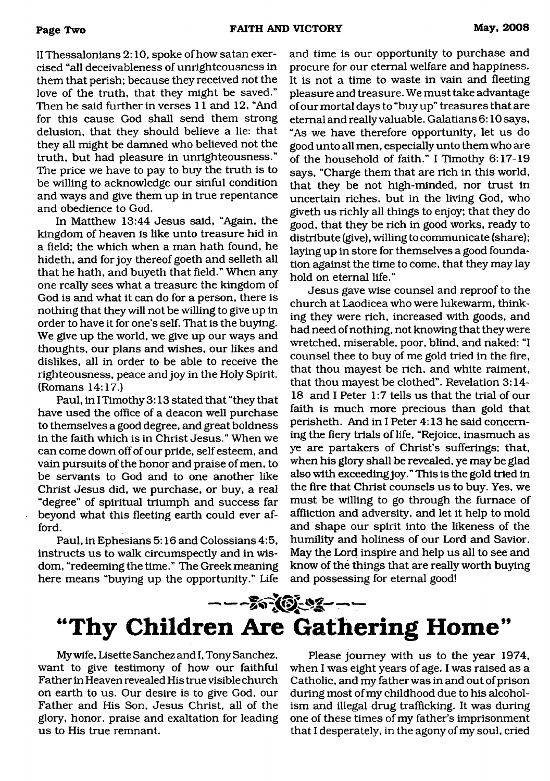II Thessalonians 2:10, spoke of how satan exercised "all deceivableness of unrighteousness in them that perish; because they received not the love of the truth, that they might be saved." Then he said further in verses 11 and 12, "And for this cause God shall send them strong delusion, that they should believe a lie: that they all might be damned who believed not the truth, but had pleasure in unrighteousness." The price we have to pay to buy the truth is to be willing to acknowledge our sinful condition and ways and give them up in true repentance and obedience to God.

In Matthew 13:44 Jesus said, "Again, the kingdom of heaven is like unto treasure hid in a field; the which when a man hath found, he hideth, and for joy thereof goeth and selleth all that he hath, and buyeth that field." When any one really sees what a treasure the kingdom of God is and what it can do for a person, there is nothing that they will not be willing to give up in order to have it for one's self. That is the buying. We give up the world, we give up our ways and thoughts, our plans and wishes, our likes and dislikes, all in order to be able to receive the righteousness, peace and joy in the Holy Spirit. (Romans 14:17.)

Paul, in I Timothy 3:13 stated that "they that have used the office of a deacon well purchase to themselves a good degree, and great boldness in the faith which is in Christ Jesus." When we can come down off of our pride, self esteem, and vain pursuits of the honor and praise of men, to be servants to God and to one another like Christ Jesus did, we purchase, or buy, a real "degree" of spiritual triumph and success far beyond what this fleeting earth could ever afford.

Paul, in Ephesians 5:16 and Colossians 4:5, instructs us to walk circumspectly and in wisdom, "redeeming the time." The Greek meaning here means "buying up the opportunity." Life

and time is our opportunity to purchase and procure for our eternal welfare and happiness. It is not a time to waste in vain and fleeting pleasure and treasure. We must take advantage of our mortal days to "buy up" treasures that are eternal and really valuable. Galatians 6:10 says, "As we have therefore opportunity, let us do good unto all men, especially unto them who are of the household of faith." I Timothy 6:17-19 says, "Charge them that are rich in this world, that they be not high-minded, nor trust in uncertain riches, but in the living God, who giveth us richly all things to enjoy; that they do good, that they be rich in good works, ready to distribute (give), willing to communicate (share); laying up in store for themselves a good foundation against the time to come, that they may lay hold on eternal life."

Jesus gave wise counsel and reproof to the church at Laodicea who were lukewarm, thinking they were rich, increased with goods, and had need of nothing, not knowing that they were wretched, miserable, poor, blind, and naked: "I counsel thee to buy of me gold tried in the fire, that thou mayest be rich, and white raiment, that thou mayest be clothed". Revelation 3:14- 18 and I Peter 1:7 tells us that the trial of our faith is much more precious than gold that perisheth. And in I Peter 4:13 he said concerning the fiery trials of life, "Rejoice, inasmuch as ye are partakers of Christ's sufferings; that, when his glory shall be revealed, ye may be glad also with exceeding joy." This is the gold tried in the fire that Christ counsels us to buy. Yes, we must be willing to go through the furnace of affliction and adversity, and let it help to mold and shape our spirit into the likeness of the humility and holiness of our Lord and Savior. May the Lord inspire and help us all to see and know of the things that are really worth buying and possessing for eternal good!

# <span id="page-1-0"></span>- **"Thy Children Are Gathering Home'\***

My wife, Lisette Sanchez and I, Tony Sanchez, want to give testimony of how our faithful Father in Heaven revealed His true visible church on earth to us. Our desire is to give God, our Father and His Son, Jesus Christ, all of the glory, honor, praise and exaltation for leading us to His true remnant.

Please journey with us to the year 1974, when I was eight years of age. I was raised as a Catholic, and my father was in and out of prison during most of my childhood due to his alcoholism and illegal drug trafficking. It was during one of these times of my father's imprisonment that I desperately, in the agony of my soul, cried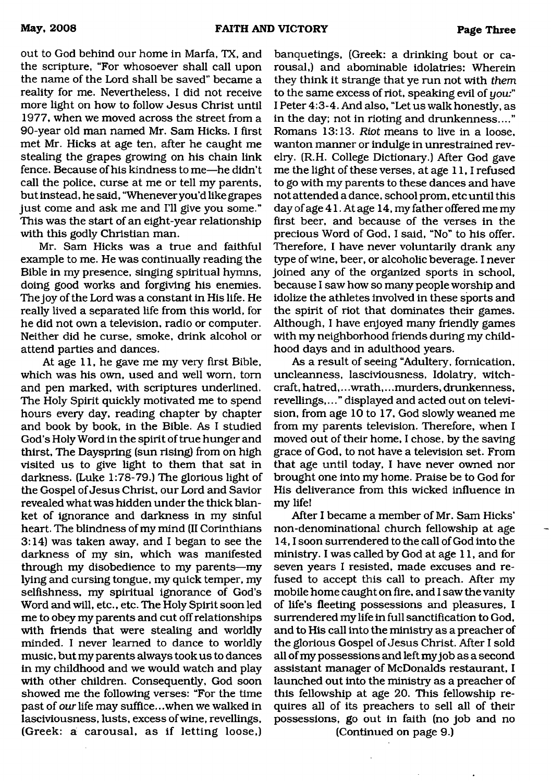out to God behind our home in Marfa, TX, and the scripture, "For whosoever shall call upon the name of the Lord shall be saved" became a reality for me. Nevertheless, I did not receive more light on how to follow Jesus Christ until 1977, when we moved across the street from a 90-year old man named Mr. Sam Hicks. I first met Mr. Hicks at age ten, after he caught me stealing the grapes growing on his chain link fence. Because of his kindness to me—he didn't call the police, curse at me or tell my parents, but instead, he said, "Whenever you'd like grapes just come and ask me and I'll give you some." This was the start of an eight-year relationship with this godly Christian man.

Mr. Sam Hicks was a true and faithful example to me. He was continually reading the Bible in my presence, singing spiritual hymns, doing good works and forgiving his enemies. The joy of the Lord was a constant in His life. He really lived a separated life from this world, for he did not own a television, radio or computer. Neither did he curse, smoke, drink alcohol or attend parties and dances.

At age 11, he gave me my very first Bible, which was his own, used and well worn, tom and pen marked, with scriptures underlined. The Holy Spirit quickly motivated me to spend hours every day, reading chapter by chapter and book by book, in the Bible. As I studied God's Holy Word in the spirit of true hunger and thirst, The Dayspring (sun rising) from on high visited us to give light to them that sat in darkness. (Luke 1:78-79.) The glorious light of the Gospel of Jesus Christ, our Lord and Savior revealed what was hidden under the thick blanket of ignorance and darkness in my sinful heart. The blindness of my mind (II Corinthians 3:14) was taken away, and I began to see the darkness of my sin, which was manifested through my disobedience to my parents—my lying and cursing tongue, my quick temper, my selfishness, my spiritual ignorance of God's Word and will, etc., etc. The Holy Spirit soon led me to obey my parents and cut off relationships with friends that were stealing and worldly minded. I never learned to dance to worldly music, but my parents always took us to dances in my childhood and we would watch and play with other children. Consequently, God soon showed me the following verses: "For the time past of our life may suffice.. .when we walked in lasciviousness, lusts, excess of wine, revellings, (Greek: a carousal, as if letting loose,)

banquetings, (Greek: a drinking bout or carousal,) and abominable idolatries: Wherein they think it strange that ye run not with *them* to the same excess of riot, speaking evil of *yow"* I Peter 4:3-4. And also, "Let us walk honestly, as in the day: not in rioting and drunkenness...." Romans 13:13. *Riot* means to live in a loose, wanton manner or indulge in unrestrained revelry. (R.H. College Dictionary.) After God gave me the light of these verses, at age 11, I refused to go with my parents to these dances and have not attended a dance, school prom, etc until this day of age 41. At age 14, my father offered me my first beer, and because of the verses in the precious Word of God, I said, "No" to his offer. Therefore, I have never voluntarily drank any type of wine, beer, or alcoholic beverage. I never joined any of the organized sports in school, because I saw how so many people worship and idolize the athletes involved in these sports and the spirit of riot that dominates their games. Although, I have enjoyed many friendly games with my neighborhood friends during my childhood days and in adulthood years.

As a result of seeing "Adultery, fornication, uncleanness, lasciviousness, Idolatry, witchcraft, hatred,.. .wrath,.. .murders, drunkenness, revellings,..." displayed and acted out on television, from age 10 to 17, God slowly weaned me from my parents television. Therefore, when I moved out of their home, I chose, by the saving grace of God, to not have a television set. From that age until today, I have never owned nor brought one into my home. Praise be to God for His deliverance from this wicked influence in my life!

After I became a member of Mr. Sam Hicks' non-denominational church fellowship at age 14,1 soon surrendered to the call of God into the ministry. I was called by God at age 11, and for seven years I resisted, made excuses and refused to accept this call to preach. After my mobile home caught on fire, and I saw the vanity of life's fleeting possessions and pleasures, I surrendered my life in full sanctification to God, and to His call into the ministry as a preacher of the glorious Gospel of Jesus Christ. After I sold all of my possessions and left my job as a second assistant manager of McDonalds restaurant, I launched out into the ministry as a preacher of this fellowship at age 20. This fellowship requires all of its preachers to sell all of their possessions, go out in faith (no job and no (Continued on page 9.)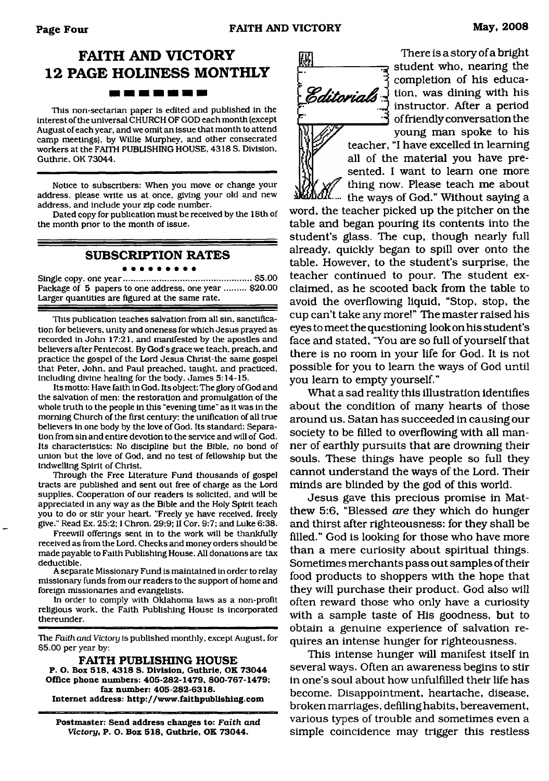## **FAITH AND VICTORY 12 PAGE HOLINESS MONTHLY** -------

This non-sectarian paper is edited and published in the interest of the universal CHURCH OF GOD each month (except August of each year, and we omit an issue that month to attend camp meetings), by Willie Murphey, and other consecrated workers at the FAITH PUBLISHING HOUSE. 4318 S, Division. Guthrie, OK 73044.

Notice to subscribers: When you move or change your address, please write us at once, giving your old and new address, and include your zip code number.

Dated copy for publication must be received by the 18th of the month prior to the month of issue.

#### **SUBSCRIPTION RATES**

Single copy, one year......................................................\$5.00 Package of 5 papers to one address, one year ......... \$20.00 Larger quantities are figured at the same rate.

This publication teaches salvation from all sin, sanctification for believers, unity and oneness for which Jesus prayed as recorded in John 17:21, and manifested by the apostles and believers after Pentecost. By God's grace we teach, preach, and practice the gospel of the Lord Jesus Christ-the same gospel that Peter, John, and Paul preached, taught, and practiced, including divine healing for the body. James 5:14-15.

Its motto: Have faith in God. Its object: The glory of God and the salvation of men: the restoration and promulgation of the whole truth to the people in this "evening time" as it was in the morning Church of the first century: the unification of all true believers in one body by the love of God. Its standard: Separation from sin and entire devotion to the service and will of God. Its characteristics: No discipline but the Bible, no bond of union but the love of God, and no test of fellowship but the indwelling Spirit of Christ.

Through the Free Literature Fund thousands of gospel tracts are published and sent out free of charge as the Lord supplies. Cooperation of our readers is solicited, and will be appreciated in any way as the Bible and the Holy Spirit teach you to do or stir your heart. "Freely ye have received, freely give." Read Ex. 25:2:1 Chron. 29:9: II Cor. 9:7; and Luke 6:38.

Freewill offerings sent in to the work will be thankfully received as from the Lord. Checks and money orders should be made payable to Faith Publishing House. All donations are tax deductible.

A separate Missionary Fund is maintained in order to relay missionary funds from our readers to the support of home and foreign missionaries and evangelists.

In order to comply with Oklahoma laws as a non-profit religious work, the Faith Publishing House is incorporated thereunder.

The *Faith and Victory* is published monthly, except August, for \$5.00 per year by:

**FAITH PUBLISH ING HOUSE P. O. Box 518, 4318 S. Division, Guthrie, OK 73044 Office phone numbers: 405-282-1479, 800-767-1479; fax number: 405-282-6318. Internet address: <http://www.faithpublishing.com>**

**Postmaster: Send address changes to:** *Faith and Victory,* **P. O. Box 518, Guthrie, OK 73044.**



There is a story of a bright student who, nearing the completion of his educa-Editorials  $\frac{1}{2}$  tion, was dining with his instructor. After a period of friendly conversation the young man spoke to his teacher, "I have excelled in learning

all of the material you have presented. I want to learn one more thing now. Please teach me about

the ways of God." Without saying a word, the teacher picked up the pitcher on the table and began pouring its contents into the student's glass. The cup, though nearly full already, quickly began to spill over onto the table. However, to the student's surprise, the teacher continued to pour. The student exclaimed, as he scooted back from the table to avoid the overflowing liquid, "Stop, stop, the cup can't take any more!" The master raised his eyes to meet the questioning look on his student's face and stated, "You are so full of yourself that there is no room in your life for God. It is not possible for you to learn the ways of God until you learn to empty yourself."

What a sad reality this illustration identifies about the condition of many hearts of those around us. Satan has succeeded in causing our society to be filled to overflowing with all manner of earthly pursuits that are drowning their souls. These things have people so full they cannot understand the ways of the Lord. Their minds are blinded by the god of this world.

Jesus gave this precious promise in Matthew 5:6, "Blessed *are* they which do hunger and thirst after righteousness: for they shall be filled." God is looking for those who have more than a mere curiosity about spiritual things. Sometimes merchants pass out samples of their food products to shoppers with the hope that they will purchase their product. God also will often reward those who only have a curiosity with a sample taste of His goodness, but to obtain a genuine experience of salvation requires an intense hunger for righteousness.

This intense hunger will manifest itself in several ways. Often an awareness begins to stir in one's soul about how unfulfilled their life has become. Disappointment, heartache, disease, broken marriages, defiling habits, bereavement, various types of trouble and sometimes even a simple coincidence may trigger this restless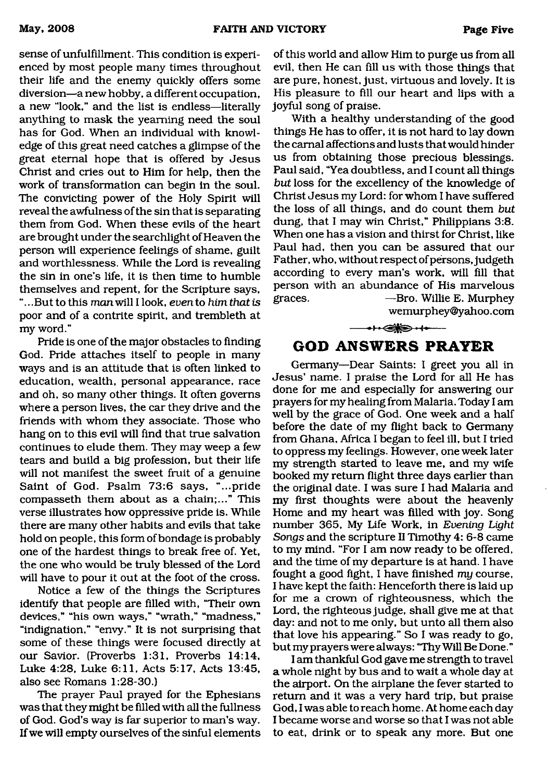sense of unfulfillment. This condition is experienced by most people many times throughout their life and the enemy quickly offers some diversion—a new hobby, a different occupation, a new "look," and the list is endless—literally anything to mask the yearning need the soul has for God. When an individual with knowledge of this great need catches a glimpse of the great eternal hope that is offered by Jesus Christ and cries out to Him for help, then the work of transformation can begin in the soul. The convicting power of the Holy Spirit will reveal the awfulness of the sin that is separating them from God. When these evils of the heart are brought under the searchlight of Heaven the person will experience feelings of shame, guilt and worthlessness. While the Lord is revealing the sin in one's life, it is then time to humble themselves and repent, for the Scripture says, ".. .But to this *man* will I look, *even* to *him that is* poor and of a contrite spirit, and trembleth at my word."

Pride is one of the major obstacles to finding God. Pride attaches itself to people in many ways and is an attitude that is often linked to education, wealth, personal appearance, race and oh, so many other things. It often governs where a person lives, the car they drive and the friends with whom they associate. Those who hang on to this evil will find that true salvation continues to elude them. They may weep a few tears and build a big profession, but their life will not manifest the sweet fruit of a genuine Saint of God. Psalm 73:6 says, "...pride compasseth them about as a chain;..." This verse illustrates how oppressive pride is. While there are many other habits and evils that take hold on people, this form of bondage is probably one of the hardest things to break free of. Yet, the one who would be truly blessed of the Lord will have to pour it out at the foot of the cross.

Notice a few of the things the Scriptures identify that people are filled with, "Their own devices," "his own ways," "wrath," "madness," "indignation," "envy." It is not surprising that some of these things were focused directly at our Savior. (Proverbs 1:31, Proverbs 14:14, Luke 4:28, Luke 6:11, Acts 5:17, Acts 13:45, also see Romans 1:28-30.)

The prayer Paul prayed for the Ephesians was that they might be filled with all the fullness of God. God's way is far superior to man's way. If we will empty ourselves of the sinful elements

of this world and allow Him to purge us from all evil, then He can fill us with those things that are pure, honest, just, virtuous and lovely. It is His pleasure to fill our heart and lips with a joyful song of praise.

With a healthy understanding of the good things He has to offer, it is not hard to lay down the carnal affections and lusts that would hinder us from obtaining those precious blessings. Paul said, "Yea doubtless, and I count all things *but* loss for the excellency of the knowledge of Christ Jesus my Lord: for whom I have suffered the loss of all things, and do count them *but* dung, that I may win Christ," Philippians 3:8. When one has a vision and thirst for Christ, like Paul had, then you can be assured that our Father, who, without respect of persons, judgeth according to every man's work, will fill that person with an abundance of His marvelous graces. —Bro. Willie E. Murphey

wemurphey ©yahoo. com

 $\leftrightarrow$ 

### <span id="page-4-0"></span>**GOD ANSWERS PRAYER**

Germany—Dear Saints: I greet you all in Jesus' name. I praise the Lord for all He has done for me and especially for answering our prayers for my healing from Malaria. Today I am well by the grace of God. One week and a half before the date of my flight back to Germany from Ghana, Africa I began to feel ill, but I tried to oppress my feelings. However, one week later my strength started to leave me, and my wife booked my return flight three days earlier than the original date. I was sure I had Malaria and my first thoughts were about the heavenly Home and my heart was filled with joy. Song number 365, My Life Work, in *Evening Light Songs* and the scripture II Timothy 4: 6-8 came to my mind. "For I am now ready to be offered, and the time of my departure is at hand. I have fought a good fight, I have finished *my* course, I have kept the faith: Henceforth there is laid up for me a crown of righteousness, which the Lord, the righteous judge, shall give me at that day: and not to me only, but unto all them also that love his appearing." So I was ready to go, but my prayers were always: "Thy Will Be Done. "

I am thankful God gave me strength to travel a whole night by bus and to wait a whole day at the airport. On the airplane the fever started to return and it was a very hard trip, but praise God, I was able to reach home. At home each day I became worse and worse so that I was not able to eat, drink or to speak any more. But one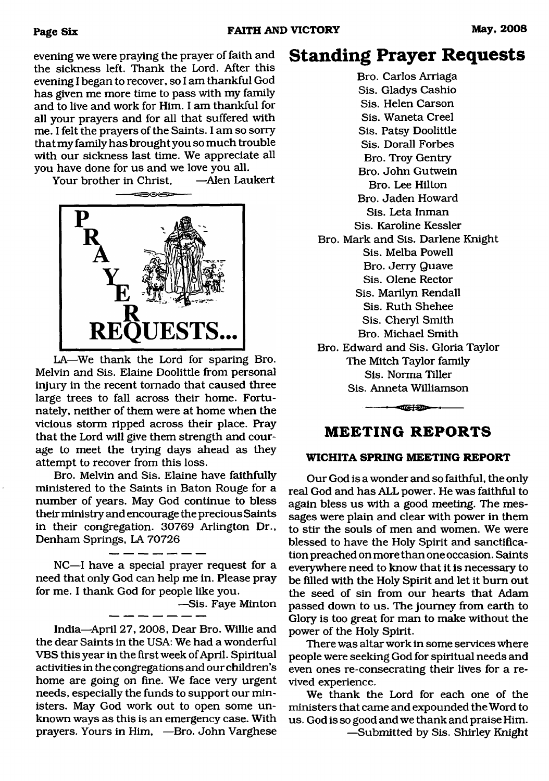evening we were praying the prayer of faith and the sickness left. Thank the Lord. After this evening I began to recover, so I am thankful God has given me more time to pass with my family and to live and work for Him. I am thankful for all your prayers and for all that suffered with me. I felt the prayers of the Saints. I am so sorry that my family has brought you so much trouble with our sickness last time. We appreciate all you have done for us and we love you all.<br>Your brother in Christ. — Alen Laukert

Your brother in Christ,



LA-We thank the Lord for sparing Bro. Melvin and Sis. Elaine Doolittle from personal injury in the recent tornado that caused three large trees to fall across their home. Fortunately, neither of them were at home when the vicious storm ripped across their place. Pray that the Lord will give them strength and courage to meet the trying days ahead as they attempt to recover from this loss.

Bro. Melvin and Sis. Elaine have faithfully ministered to the Saints in Baton Rouge for a number of years. May God continue to bless their ministry and encourage the precious Saints in their congregation. 30769 Arlington Dr., Denham Springs, LA 70726

NC—I have a special prayer request for a need that only God can help me in. Please pray for me. I thank God for people like you.

—Sis. Faye Minton

India—April 27, 2008, Dear Bro. Willie and the dear Saints in the USA: We had a wonderful VBS this year in the first week of April. Spiritual activities in the congregations and our children's home are going on fine. We face very urgent needs, especially the funds to support our ministers. May God work out to open some unknown ways as this is an emergency case. With prayers. Yours in Him, —Bro. John Varghese

## **Standing Prayer Requests**

Bro. Carlos Arriaga Sis. Gladys Cashio Sis. Helen Carson Sis. Waneta Creel Sis. Patsy Doolittle Sis. Dorall Forbes Bro. Troy Gentry Bro. John Gutwein Bro. Lee Hilton Bro. Jaden Howard Sis. Leta Inman Sis. Karoline Kessler Bro. Mark and Sis. Darlene Knight Sis. Melba Powell Bro. Jerry Quave Sis. Olene Rector Sis. Marilyn Rendall Sis. Ruth Shehee Sis. Cheryl Smith Bro. Michael Smith Bro. Edward and Sis. Gloria Taylor The Mitch Taylor family Sis. Norma Tiller Sis. Anneta Williamson

### <span id="page-5-0"></span>**MEETING REPORTS**

 $-$ 

#### **WICHITA SPRING MEETING REPORT**

Our God is a wonder and so faithful, the only real God and has ALL power. He was faithful to again bless us with a good meeting. The messages were plain and clear with power in them to stir the souls of men and women. We were blessed to have the Holy Spirit and sanctification preached on more than one occasion. Saints everywhere need to know that it is necessary to be filled with the Holy Spirit and let it bum out the seed of sin from our hearts that Adam passed down to us. The journey from earth to Glory is too great for man to make without the power of the Holy Spirit.

There was altar work in some services where people were seeking God for spiritual needs and even ones re-consecrating their lives for a revived experience.

We thank the Lord for each one of the ministers that came and expounded the Word to us. God is so good and we thank and praise Him. —Submitted by Sis. Shirley Knight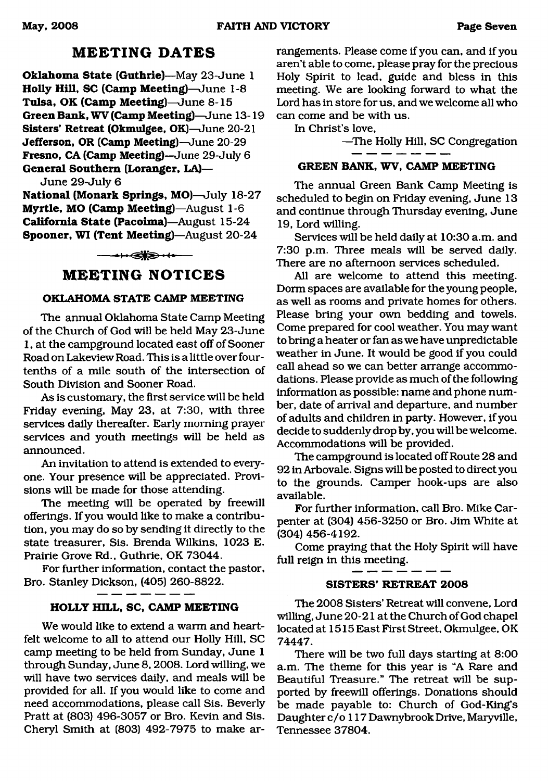## **MEETING DATES**

**Oklahoma State (Guthrie)**—May 23-June 1 **Holly Hill, SC (Camp Meeting)**—June 1-8 **Tulsa, OK (Camp Meeting)**—June 8-15 **Green Bank, WV (Camp Meeting)**—June 13-19 **Sisters' Retreat (Okmulgee, OK)**—June 20-21 **Jefferson, OR (Camp Meeting)—**June 20-29 **Fresno, CA (Camp Meeting)—**June 29-July 6 **General Southern (Loranger, LA)—**

June 29-July 6

**National (Monark Springs, MO)**—July 18-27 **Myrtle, MO (Camp Meeting)**—August 1-6 **California State (Pacoima)**—August 15-24 **Spooner, WI (Tent Meeting)**—August 20-24

**──→⊢←⋐▓⋑・⊀◆**──

### **MEETING NOTICES**

#### **OKLAHOMA STATE CAMP MEETING**

The annual Oklahoma State Camp Meeting of the Church of God will be held May 23-June 1, at the campground located east off of Sooner Road on Lakeview Road. This is a little over fourtenths of a mile south of the intersection of South Division and Sooner Road.

As is customary, the first service will be held Friday evening, May 23, at 7:30, with three services daily thereafter. Early morning prayer services and youth meetings will be held as announced.

An invitation to attend is extended to everyone. Your presence will be appreciated. Provisions will be made for those attending.

The meeting will be operated by freewill offerings. If you would like to make a contribution, you may do so by sending it directly to the state treasurer, Sis. Brenda Wilkins, 1023 E. Prairie Grove Rd., Guthrie, OK 73044.

For further information, contact the pastor, Bro. Stanley Dickson, (405) 260-8822.

#### **HOLLY HILL, SC, CAMP MEETING**

We would like to extend a warm and heartfelt welcome to all to attend our Holly Hill, SC camp meeting to be held from Sunday, June 1 through Sunday, June 8,2008. Lord willing, we will have two services daily, and meals will be provided for all. If you would like to come and need accommodations, please call Sis. Beverly Pratt at (803) 496-3057 or Bro. Kevin and Sis. Cheryl Smith at (803) 492-7975 to make arrangements. Please come if you can, and if you aren't able to come, please pray for the precious Holy Spirit to lead, guide and bless in this meeting. We are looking forward to what the Lord has in store for us, and we welcome all who can come and be with us.

In Christ's love,

—The Holly Hill, SC Congregation

#### **GREEN BANK, WV, CAMP MEETING**

The annual Green Bank Camp Meeting is scheduled to begin on Friday evening, June 13 and continue through Thursday evening, June 19, Lord willing.

Services will be held daily at 10:30 a.m. and 7:30 p.m. Three meals will be served daily. There are no afternoon services scheduled.

All are welcome to attend this meeting. Dorm spaces are available for the young people, as well as rooms and private homes for others. Please bring your own bedding and towels. Come prepared for cool weather. You may want to bring a heater or fan as we have unpredictable weather in June. It would be good if you could call ahead so we can better arrange accommodations. Please provide as much of the following information as possible: name and phone number, date of arrival and departure, and number of adults and children in party. However, if you decide to suddenly drop by, you will be welcome. Accommodations will be provided.

The campground is located off Route 28 and 92 in Arbovale. Signs will be posted to direct you to the grounds. Camper hook-ups are also available.

For further information, call Bro. Mike Carpenter at (304) 456-3250 or Bro. Jim White at (304) 456-4192.

Come praying that the Holy Spirit will have full reign in this meeting.

#### **SISTERS' RETREAT 2008**

The 2008 Sisters' Retreat will convene, Lord willing, June 20-21 at the Church of God chapel located at 1515 East First Street, Okmulgee, OK 74447.

There will be two full days starting at 8:00 a.m. The theme for this year is "A Rare and Beautiful Treasure." The retreat will be supported by freewill offerings. Donations should be made payable to: Church of God-King's Daughter c/o 117 Dawnybrook Drive, Maryville, Tennessee 37804.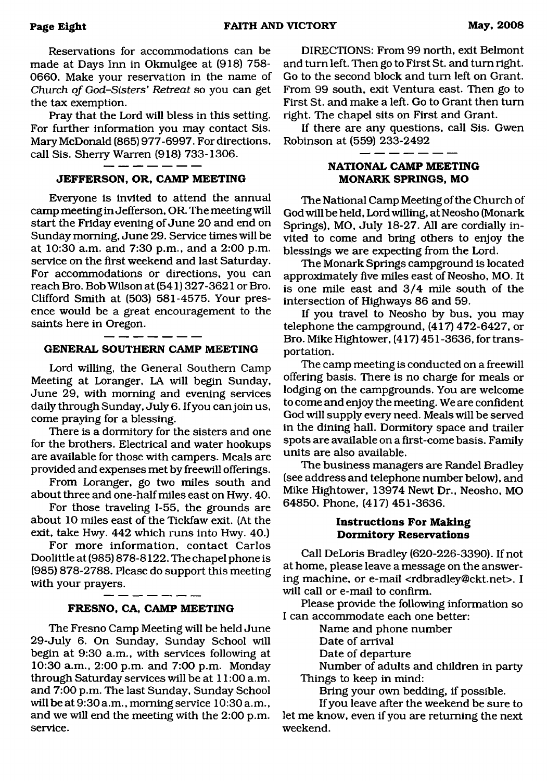Reservations for accommodations can be made at Days Inn in Okmulgee at (918) 758- 0660. Make your reservation in the name of *Church of God-Sisters' Retreat* so you can get the tax exemption.

Pray that the Lord will bless in this setting. For further information you may contact Sis. Mary McDonald (865) 977-6997. For directions, call Sis. Sherry Warren (918) 733-1306.

#### **JEFFERSON, OR, CAMP MEETING**

Everyone is invited to attend the annual camp meeting in Jefferson, OR. The meeting will start the Friday evening of June 20 and end on Sunday morning, June 29. Service times will be at 10:30 a.m. and 7:30 p.m., and a 2:00 p.m. service on the first weekend and last Saturday. For accommodations or directions, you can reach Bro. Bob Wilson at (541) 327-3621 or Bro. Clifford Smith at (503) 581-4575. Your presence would be a great encouragement to the saints here in Oregon.

#### **GENERAL SOUTHERN CAMP MEETING**

Lord willing, the General Southern Camp Meeting at Loranger, LA will begin Sunday, June 29, with morning and evening services daily through Sunday, July 6. If you can join us, come praying for a blessing.

There is a dormitory for the sisters and one for the brothers. Electrical and water hookups are available for those with campers. Meals are provided and expenses met by freewill offerings.

From Loranger, go two miles south and about three and one-half miles east on Hwy. 40.

For those traveling 1-55, the grounds are about 10 miles east of the Tickfaw exit. (At the exit, take Hwy. 442 which runs into Hwy. 40.)

For more information, contact Carlos Doolittle at (985) 878-8122. The chapel phone is (985) 878-2788. Please do support this meeting with your prayers.

#### **FRESNO, CA, CAMP MEETING**

The Fresno Camp Meeting will be held June 29-July 6. On Sunday, Sunday School will begin at 9:30 a.m., with services following at 10:30 a.m., 2:00 p.m. and 7:00 p.m. Monday through Saturday services will be at 11:00 a.m. and 7:00 p.m. The last Sunday, Sunday School will be at 9:30 a.m., morning service 10:30 a.m., and we will end the meeting with the 2:00 p.m. service.

DIRECTIONS: From 99 north, exit Belmont and turn left. Then go to First St. and turn right. Go to the second block and turn left on Grant. From 99 south, exit Ventura east. Then go to First St. and make a left. Go to Grant then turn right. The chapel sits on First and Grant.

If there are any questions, call Sis. Gwen Robinson at (559) 233-2492

#### **NATIONAL CAMP MEETING MONARK SPRINGS, MO**

The National Camp Meeting of the Church of God will be held, Lord willing, at Neosho (Monark Springs), MO, July 18-27. All are cordially invited to come and bring others to enjoy the blessings we are expecting from the Lord.

The Monark Springs campground is located approximately five miles east of Neosho, MO. It is one mile east and 3/4 mile south of the intersection of Highways 86 and 59.

If you travel to Neosho by bus, you may telephone the campground, (417) 472-6427, or Bro. Mike Hightower, (417) 451-3636, for transportation.

The camp meeting is conducted on a freewill offering basis. There is no charge for meals or lodging on the campgrounds. You are welcome to come and enjoy the meeting. We are confident God will supply every need. Meals will be served in the dining hall. Dormitory space and trailer spots are available on a first-come basis. Family units are also available.

The business managers are Randel Bradley (see address and telephone number below), and Mike Hightower, 13974 Newt Dr., Neosho, MO 64850. Phone, (417) 451-3636.

#### **Instructions For Making Dormitory Reservations**

Call DeLoris Bradley (620-226-3390). If not at home, please leave a message on the answering machine, or e-mail <[rdbradley@ckt.net>](mailto:rdbradley@ckt.net). I will call or e-mail to confirm.

Please provide the following information so I can accommodate each one better:

Name and phone number

Date of arrival

Date of departure

Number of adults and children in party Things to keep in mind:

Bring your own bedding, if possible.

If you leave after the weekend be sure to let me know, even if you are returning the next weekend.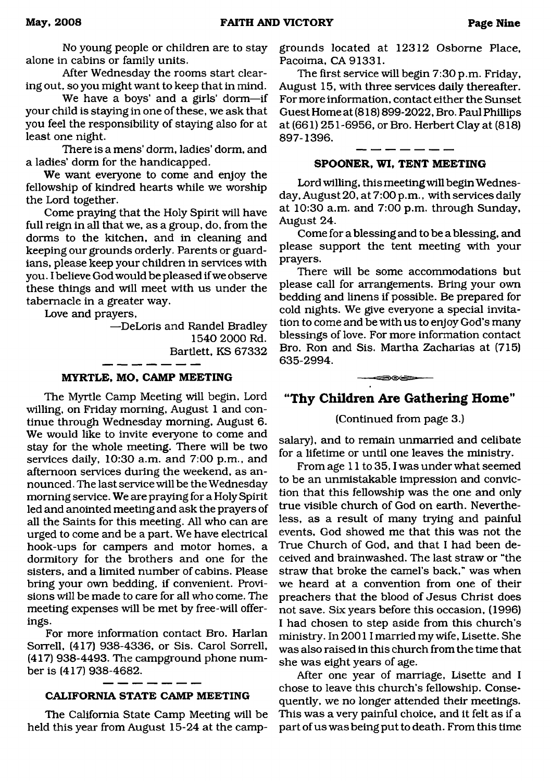No young people or children are to stay alone in cabins or family units.

After Wednesday the rooms start clearing out, so you might want to keep that in mind.

We have a boys' and a girls' dorm—if your child is staying in one of these, we ask that you feel the responsibility of staying also for at least one night.

There is a mens' dorm, ladies' dorm, and a ladies' dorm for the handicapped.

We want everyone to come and enjoy the fellowship of kindred hearts while we worship the Lord together.

Come praying that the Holy Spirit will have full reign in all that we, as a group, do, from the dorms to the kitchen, and in cleaning and keeping our grounds orderly. Parents or guardians, please keep your children in services with you. I believe God would be pleased if we observe these things and will meet with us under the tabernacle in a greater way.

Love and prayers,

—DeLoris and Randel Bradley 1540 2000 Rd. Bartlett, KS 67332

#### **MYRTLE, MO, CAMP MEETING**

The Myrtle Camp Meeting will begin, Lord willing, on Friday morning, August 1 and continue through Wednesday morning, August 6. We would like to invite everyone to come and stay for the whole meeting. There will be two services daily, 10:30 a.m. and 7:00 p.m., and afternoon services during the weekend, as announced . The last service will be the Wednesday morning service. We are praying for a Holy Spirit led and anointed meeting and ask the prayers of all the Saints for this meeting. All who can are urged to come and be a part. We have electrical hook-ups for campers and motor homes, a dormitory for the brothers and one for the sisters, and a limited number of cabins. Please bring your own bedding, if convenient. Provisions will be made to care for all who come. The meeting expenses will be met by free-will offerings.

For more information contact Bro. Harlan Sorrell, (417) 938-4336, or Sis. Carol Sorrell, (417) 938-4493. The campground phone number is (417) 938-4682.

#### **CALIFORNIA STATE CAMP MEETING**

The California State Camp Meeting will be held this year from August 15-24 at the campgrounds located at 12312 Osborne Place, Pacoima, CA 91331.

The first service will begin 7:30 p.m. Friday, August 15, with three services daily thereafter. For more information, contact either the Sunset Guest Home at (818) 899-2022, Bro. Paul Phillips at (661) 251-6956, or Bro. Herbert Clay at (818) 897-1396.

#### **SPOONER, WI, TENT MEETING**

Lord willing, this meeting will begin Wednesday, August 20, at 7:00 p.m., with services daily at 10:30 a.m. and 7:00 p.m. through Sunday, August 24.

Come for a blessing and to be a blessing, and please support the tent meeting with your prayers.

There will be some accommodations but please call for arrangements. Bring your own bedding and linens if possible. Be prepared for cold nights. We give everyone a special invitation to come and be with us to enjoy God's many blessings of love. For more information contact Bro. Ron and Sis. Martha Zacharias at (715) 635-2994.

### **"Thy Children Are Gathering Home"**

-- 306 -

#### (Continued from page 3.)

salary), and to remain unmarried and celibate for a lifetime or until one leaves the ministry.

From age 11 to 35, I was under what seemed to be an unmistakable impression and conviction that this fellowship was the one and only true visible church of God on earth. Nevertheless, as a result of many trying and painful events, God showed me that this was not the True Church of God, and that I had been deceived and brainwashed. The last straw or "the straw that broke the camel's back," was when we heard at a convention from one of their preachers that the blood of Jesus Christ does not save. Six years before this occasion, (1996) I had chosen to step aside from this church's ministry. In 20011 married my wife, Lisette. She was also raised in this church from the time that she was eight years of age.

After one year of marriage, Lisette and I chose to leave this church's fellowship. Consequently, we no longer attended their meetings. This was a very painful choice, and it felt as if a part of us was being put to death. From this time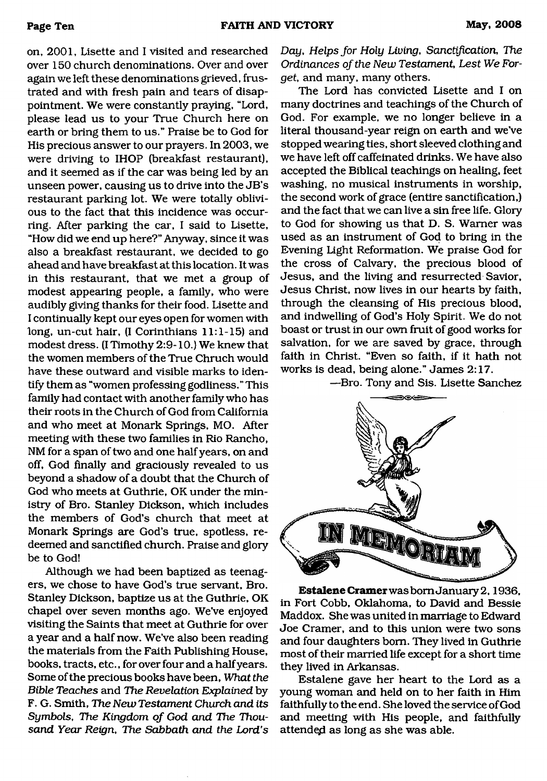on, 2001, Lisette and I visited and researched over 150 church denominations. Over and over again we left these denominations grieved, frustrated and with fresh pain and tears of disappointment. We were constantly praying, "Lord, please lead us to your True Church here on earth or bring them to us." Praise be to God for His precious answer to our prayers. In 2003, we were driving to IHOP (breakfast restaurant), and it seemed as if the car was being led by an unseen power, causing us to drive into the JB's restaurant parking lot. We were totally oblivious to the fact that this incidence was occurring. After parking the car, I said to Lisette, "How did we end up here?" Anyway, since it was also a breakfast restaurant, we decided to go ahead and have breakfast at this location. It was in this restaurant, that we met a group of modest appearing people, a family, who were audibly giving thanks for their food. Lisette and I continually kept our eyes open for women with long, un-cut hair, (I Corinthians 11:1-15) and modest dress. (I Timothy 2:9-10.) We knew that the women members of the True Chruch would have these outward and visible marks to identify them as "women professing godliness." This family had contact with another family who has their roots in the Church of God from California and who meet at Monark Springs, MO. After meeting with these two families in Rio Rancho, NM for a span of two and one half years, on and off, God finally and graciously revealed to us beyond a shadow of a doubt that the Church of God who meets at Guthrie, OK under the ministry of Bro. Stanley Dickson, which includes the members of God's church that meet at Monark Springs are God's true, spotless, redeemed and sanctified church. Praise and glory be to God!

Although we had been baptized as teenagers, we chose to have God's true servant, Bro. Stanley Dickson, baptize us at the Guthrie, OK chapel over seven months ago. We've enjoyed visiting the Saints that meet at Guthrie for over a year and a half now. We've also been reading the materials from the Faith Publishing House, books, tracts, etc., for over four and a half years. Some of the precious books have been, *What the Bible Teaches* and *The Revelation Explained* by F. G. Smith, *The New Testament Church and its Symbols, The Kingdom of God and The Thousand Year Reign, The Sabbath and the Lord's*

*Day, Helps for Holy Living, Sanctification, The Ordinances of the New Testament, Lest We Forget,* and many, many others.

The Lord has convicted Lisette and I on many doctrines and teachings of the Church of God. For example, we no longer believe in a literal thousand-year reign on earth and we've stopped wearing ties, short sleeved clothing and we have left off caffeinated drinks. We have also accepted the Biblical teachings on healing, feet washing, no musical instruments in worship, the second work of grace (entire sanctification,) and the fact that we can live a sin free life. Glory to God for showing us that D. S. Warner was used as an instrument of God to bring in the Evening Light Reformation. We praise God for the cross of Calvary, the precious blood of Jesus, and the living and resurrected Savior, Jesus Christ, now lives in our hearts by faith, through the cleansing of His precious blood, and indwelling of God's Holy Spirit. We do not boast or trust in our own fruit of good works for salvation, for we are saved by grace, through faith in Christ. "Even so faith, if it hath not works is dead, being alone." James 2:17.

—Bro. Tony and Sis. Lisette Sanchez



**Estalene Cramer** was bom January2,1936, in Fort Cobb, Oklahoma, to David and Bessie Maddox. She was united in marriage to Edward Joe Cramer, and to this union were two sons and four daughters bom. They lived in Guthrie most of their married life except for a short time they lived in Arkansas.

Estalene gave her heart to the Lord as a young woman and held on to her faith in Him faithfully to the end. She loved the service of God and meeting with His people, and faithfully attended as long as she was able.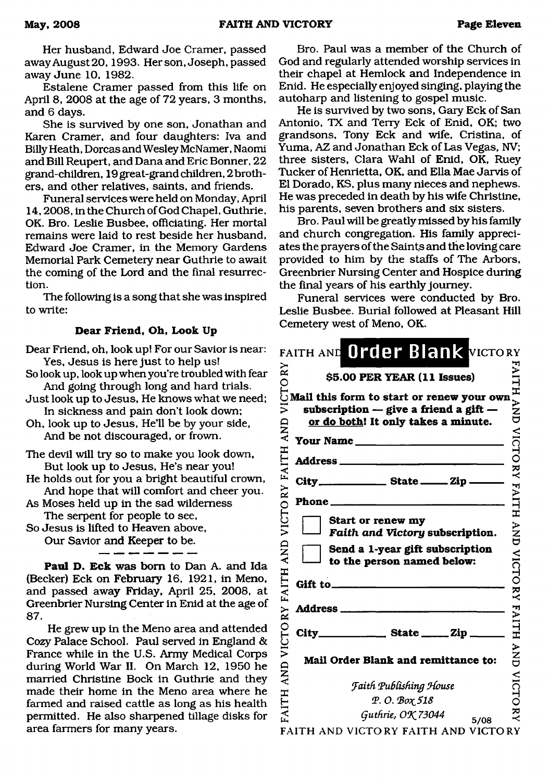Her husband, Edward Joe Cramer, passed away August 20,1993. Her son, Joseph, passed away June 10, 1982.

Estalene Cramer passed from this life on April 8, 2008 at the age of 72 years, 3 months, and 6 days.

She is survived by one son, Jonathan and Karen Cramer, and four daughters: Iva and Billy Heath, Dorcas and Wesley McNamer, Naomi and Bill Reupert, and Dana and Eric Bonner, 22 grand-children, 19 great-grand children, 2 brothers, and other relatives, saints, and friends.

Funeral services were held on Monday, April 14,2008, in the Church of God Chapel, Guthrie, OK. Bro. Leslie Busbee, officiating. Her mortal remains were laid to rest beside her husband, Edward Joe Cramer, in the Memory Gardens Memorial Park Cemetery near Guthrie to await the coming of the Lord and the final resurrection.

The following is a song that she was inspired to write:

#### **Dear Friend, Oh, Look Up**

Dear Friend, oh, look up! For our Savior is near: Yes, Jesus is here just to help us!

So look up, look up when you're troubled with fear And going through long and hard trials.

- Just look up to Jesus, He knows what we need; In sickness and pain don't look down;
- Oh, look up to Jesus, He'll be by your side, And be not discouraged, or frown.
- The devil will try so to make you look down, But look up to Jesus, He's near you!
- He holds out for you a bright beautiful crown, And hope that will comfort and cheer you.
- As Moses held up in the sad wilderness The serpent for people to see,
- So Jesus is lifted to Heaven above,

Our Savior and Keeper to be.

**Paul D. Eck** was bom to Dan A. and Ida (Becker) Eck on February 16, 1921, in Meno, and passed away Friday, April 25, 2008, at Greenbrier Nursing Center in Enid at the age of 87.

He grew up in the Meno area and attended Cozy Palace School. Paul served in England & France while in the U.S. Army Medical Corps during World War II. On March 12, 1950 he married Christine Bock in Guthrie and they made their home in the Meno area where he farmed and raised cattle as long as his health permitted. He also sharpened tillage disks for area farmers for many years.

Bro. Paul was a member of the Church of God and regularly attended worship services in their chapel at Hemlock and Independence in Enid. He especially enjoyed singing, playing the autoharp and listening to gospel music.

He is survived by two sons, Gary Eck of San Antonio, TX and Terry Eck of Enid, OK; two grandsons, Tony Eck and wife, Cristina, of Yuma, AZ and Jonathan Eck of Las Vegas, NV; three sisters, Clara Wahl of Enid, OK, Ruey Tucker of Henrietta, OK, and Ella Mae Jarvis of El Dorado, KS, plus many nieces and nephews. He was preceded in death by his wife Christine, his parents, seven brothers and six sisters.

Bro. Paul will be greatly missed by his family and church congregation. His family appreciates the prayers of the Saints and the loving care provided to him by the staffs of The Arbors, Greenbrier Nursing Center and Hospice during the final years of his earthly journey.

Funeral services were conducted by Bro. Leslie Busbee. Burial followed at Pleasant Hill Cemetery west of Meno, OK.

| \$5.00 PER YEAR (11 Issues)                                                                        | FAITH AND VICTO      |
|----------------------------------------------------------------------------------------------------|----------------------|
| $\rm \overline{O}^{2}$ = \$5.00 PER YEAR (11 Issues)<br>UMail this form to start or renew your own |                      |
| subscription $-$ give a friend a gift $-$                                                          |                      |
| or do both! It only takes a minute.                                                                |                      |
| Your Name                                                                                          |                      |
|                                                                                                    |                      |
|                                                                                                    | $\check{\mathbf{z}}$ |
| $City$ <sub>______________</sub> State _____ Zip _____                                             |                      |
|                                                                                                    | <b>FAITH</b>         |
| <b>Start or renew my</b>                                                                           |                      |
| Faith and Victory subscription.                                                                    |                      |
| Send a 1-year gift subscription                                                                    |                      |
| to the person named below:                                                                         |                      |
|                                                                                                    |                      |
|                                                                                                    |                      |
|                                                                                                    | AND VICTO RY FAITH   |
|                                                                                                    |                      |
|                                                                                                    |                      |
|                                                                                                    | $\sum_{i=1}^{n}$     |
| Mail Order Blank and remittance to:                                                                |                      |
| <b>Faith Publishing House</b>                                                                      | <b>VICTC</b>         |
| Р. О. Вох 518                                                                                      |                      |
| Guthrie, OK 73044<br>5/08                                                                          | $\check{\mathbf{z}}$ |
|                                                                                                    |                      |